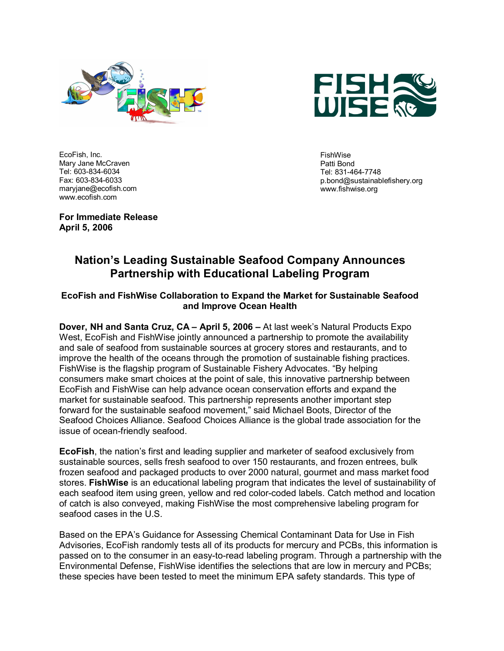



EcoFish, Inc. Mary Jane McCraven Tel: 603-834-6034 Fax: 603-834-6033 maryjane@ecofish.com www.ecofish.com

FishWise Patti Bond Tel: 831-464-7748 p.bond@sustainablefishery.org www.fishwise.org

**For Immediate Release April 5, 2006** 

# **Nation's Leading Sustainable Seafood Company Announces Partnership with Educational Labeling Program**

### **EcoFish and FishWise Collaboration to Expand the Market for Sustainable Seafood and Improve Ocean Health**

**Dover, NH and Santa Cruz, CA – April 5, 2006 –** At last week's Natural Products Expo West, EcoFish and FishWise jointly announced a partnership to promote the availability and sale of seafood from sustainable sources at grocery stores and restaurants, and to improve the health of the oceans through the promotion of sustainable fishing practices. FishWise is the flagship program of Sustainable Fishery Advocates. "By helping consumers make smart choices at the point of sale, this innovative partnership between EcoFish and FishWise can help advance ocean conservation efforts and expand the market for sustainable seafood. This partnership represents another important step forward for the sustainable seafood movement," said Michael Boots, Director of the Seafood Choices Alliance. Seafood Choices Alliance is the global trade association for the issue of ocean-friendly seafood.

**EcoFish**, the nation's first and leading supplier and marketer of seafood exclusively from sustainable sources, sells fresh seafood to over 150 restaurants, and frozen entrees, bulk frozen seafood and packaged products to over 2000 natural, gourmet and mass market food stores. **FishWise** is an educational labeling program that indicates the level of sustainability of each seafood item using green, yellow and red color-coded labels. Catch method and location of catch is also conveyed, making FishWise the most comprehensive labeling program for seafood cases in the U.S.

Based on the EPA's Guidance for Assessing Chemical Contaminant Data for Use in Fish Advisories, EcoFish randomly tests all of its products for mercury and PCBs, this information is passed on to the consumer in an easy-to-read labeling program. Through a partnership with the Environmental Defense, FishWise identifies the selections that are low in mercury and PCBs; these species have been tested to meet the minimum EPA safety standards. This type of